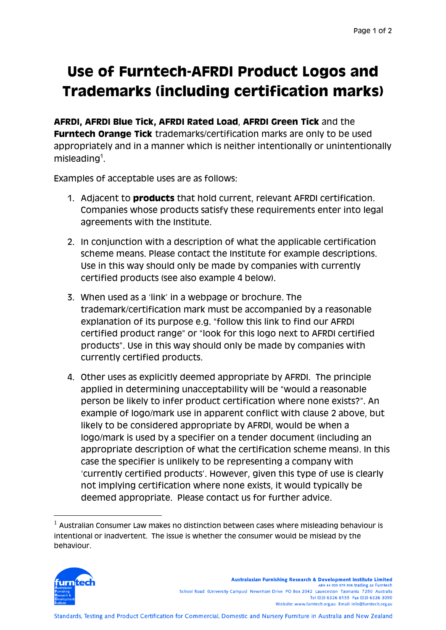## **Use of Furntech-AFRDI Product Logos and Trademarks (including certification marks)**

**AFRDI, AFRDI Blue Tick, AFRDI Rated Load**, **AFRDI Green Tick** and the **Furntech Orange Tick** trademarks/certification marks are only to be used appropriately and in a manner which is neither intentionally or unintentionally misleading $1$ .

Examples of acceptable uses are as follows:

- 1. Adjacent to **products** that hold current, relevant AFRDI certification. Companies whose products satisfy these requirements enter into legal agreements with the Institute.
- 2. In conjunction with a description of what the applicable certification scheme means. Please contact the Institute for example descriptions. Use in this way should only be made by companies with currently certified products (see also example 4 below).
- 3. When used as a 'link' in a webpage or brochure. The trademark/certification mark must be accompanied by a reasonable explanation of its purpose e.g. "follow this link to find our AFRDI certified product range" or "look for this logo next to AFRDI certified products". Use in this way should only be made by companies with currently certified products.
- 4. Other uses as explicitly deemed appropriate by AFRDI. The principle applied in determining unacceptability will be "would a reasonable person be likely to infer product certification where none exists?". An example of logo/mark use in apparent conflict with clause 2 above, but likely to be considered appropriate by AFRDI, would be when a logo/mark is used by a specifier on a tender document (including an appropriate description of what the certification scheme means). In this case the specifier is unlikely to be representing a company with 'currently certified products'. However, given this type of use is clearly not implying certification where none exists, it would typically be deemed appropriate. Please contact us for further advice.

 $1$  Australian Consumer Law makes no distinction between cases where misleading behaviour is intentional or inadvertent. The issue is whether the consumer would be mislead by the behaviour.



<u>.</u>

Australasian Furnishing Research & Development Institute Limited ABN 44 009 579 908, trading as Furntech School Road (University Campus) Newnham Drive PO Box 2042 Launceston Tasmania 7250 Australia Tel (03) 6326 6155 Fax (03) 6326 3090 Website: www.furntech.org.au Email: info@furntech.org.au

Standards, Testing and Product Certification for Commercial, Domestic and Nursery Furniture in Australia and New Zealand